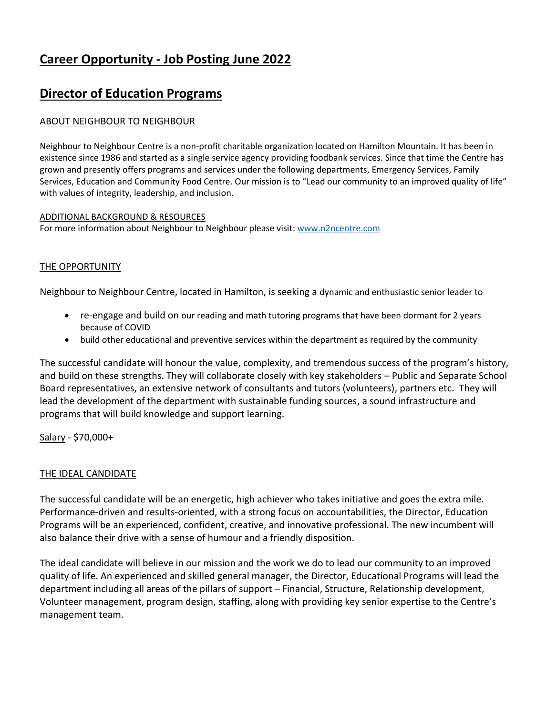# **Career Opportunity - Job Posting June 2022**

## **Director of Education Programs**

#### ABOUT NEIGHBOUR TO NEIGHBOUR

Neighbour to Neighbour Centre is a non-profit charitable organization located on Hamilton Mountain. It has been in existence since 1986 and started as a single service agency providing foodbank services. Since that time the Centre has grown and presently offers programs and services under the following departments, Emergency Services, Family Services, Education and Community Food Centre. Our mission is to "Lead our community to an improved quality of life" with values of integrity, leadership, and inclusion.

#### ADDITIONAL BACKGROUND & RESOURCES

For more information about Neighbour to Neighbour please visit: [www.n2ncentre.com](http://www.n2ncentre.com/)

#### THE OPPORTUNITY

Neighbour to Neighbour Centre, located in Hamilton, is seeking a dynamic and enthusiastic senior leader to

- re-engage and build on our reading and math tutoring programs that have been dormant for 2 years because of COVID
- build other educational and preventive services within the department as required by the community

The successful candidate will honour the value, complexity, and tremendous success of the program's history, and build on these strengths. They will collaborate closely with key stakeholders – Public and Separate School Board representatives, an extensive network of consultants and tutors (volunteers), partners etc. They will lead the development of the department with sustainable funding sources, a sound infrastructure and programs that will build knowledge and support learning.

Salary - \$70,000+

#### THE IDEAL CANDIDATE

The successful candidate will be an energetic, high achiever who takes initiative and goes the extra mile. Performance-driven and results-oriented, with a strong focus on accountabilities, the Director, Education Programs will be an experienced, confident, creative, and innovative professional. The new incumbent will also balance their drive with a sense of humour and a friendly disposition.

The ideal candidate will believe in our mission and the work we do to lead our community to an improved quality of life. An experienced and skilled general manager, the Director, Educational Programs will lead the department including all areas of the pillars of support – Financial, Structure, Relationship development, Volunteer management, program design, staffing, along with providing key senior expertise to the Centre's management team.